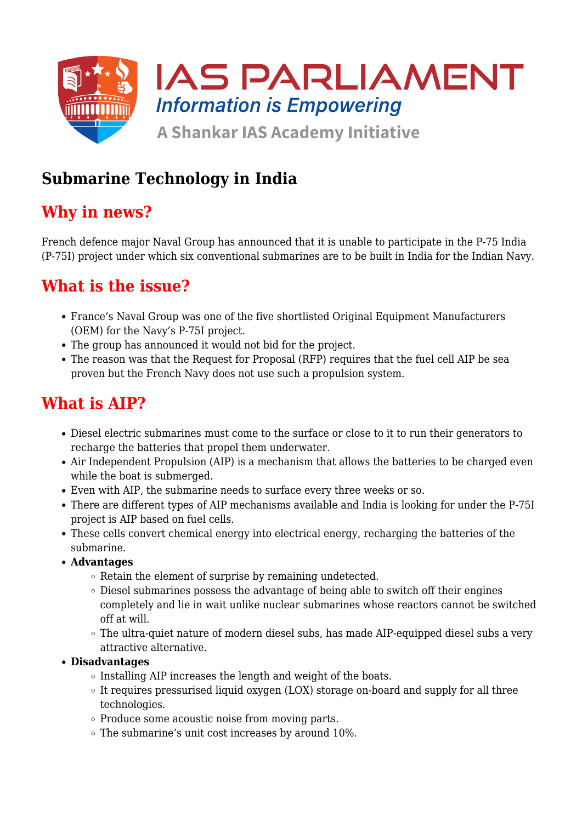

## **Submarine Technology in India**

## **Why in news?**

French defence major Naval Group has announced that it is unable to participate in the P-75 India (P-75I) project under which six conventional submarines are to be built in India for the Indian Navy.

## **What is the issue?**

- France's Naval Group was one of the five shortlisted Original Equipment Manufacturers (OEM) for the Navy's P-75I project.
- The group has announced it would not bid for the project.
- The reason was that the Request for Proposal (RFP) requires that the fuel cell AIP be sea proven but the French Navy does not use such a propulsion system.

## **What is AIP?**

- Diesel electric submarines must come to the surface or close to it to run their generators to recharge the batteries that propel them underwater.
- Air Independent Propulsion (AIP) is a mechanism that allows the batteries to be charged even while the boat is submerged.
- Even with AIP, the submarine needs to surface every three weeks or so.
- There are different types of AIP mechanisms available and India is looking for under the P-75I project is AIP based on fuel cells.
- These cells convert chemical energy into electrical energy, recharging the batteries of the submarine.
- **Advantages**
	- Retain the element of surprise by remaining undetected.
	- $\circ$  Diesel submarines possess the advantage of being able to switch off their engines completely and lie in wait unlike nuclear submarines whose reactors cannot be switched off at will.
	- The ultra-quiet nature of modern diesel subs, has made AIP-equipped diesel subs a very attractive alternative.

### **Disadvantages**

- $\circ$  Installing AIP increases the length and weight of the boats.
- $\circ$  It requires pressurised liquid oxygen (LOX) storage on-board and supply for all three technologies.
- $\circ$  Produce some acoustic noise from moving parts.
- $\circ$  The submarine's unit cost increases by around 10%.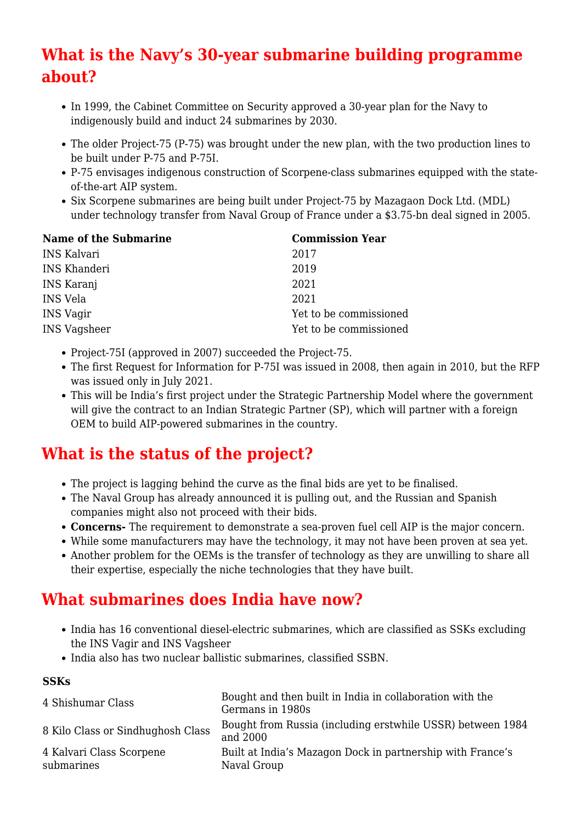# **What is the Navy's 30-year submarine building programme about?**

- In 1999, the Cabinet Committee on Security approved a 30-year plan for the Navy to indigenously build and induct 24 submarines by 2030.
- The older Project-75 (P-75) was brought under the new plan, with the two production lines to be built under P-75 and P-75I.
- P-75 envisages indigenous construction of Scorpene-class submarines equipped with the stateof-the-art AIP system.
- Six Scorpene submarines are being built under Project-75 by Mazagaon Dock Ltd. (MDL) under technology transfer from Naval Group of France under a \$3.75-bn deal signed in 2005.

| Name of the Submarine | <b>Commission Year</b> |
|-----------------------|------------------------|
| <b>INS Kalvari</b>    | 2017                   |
| <b>INS Khanderi</b>   | 2019                   |
| INS Karanj            | 2021                   |
| INS Vela              | 2021                   |
| <b>INS Vagir</b>      | Yet to be commissioned |
| <b>INS Vagsheer</b>   | Yet to be commissioned |

- Project-75I (approved in 2007) succeeded the Project-75.
- The first Request for Information for P-75I was issued in 2008, then again in 2010, but the RFP was issued only in July 2021.
- This will be India's first project under the Strategic Partnership Model where the government will give the contract to an Indian Strategic Partner (SP), which will partner with a foreign OEM to build AIP-powered submarines in the country.

## **What is the status of the project?**

- The project is lagging behind the curve as the final bids are yet to be finalised.
- The Naval Group has already announced it is pulling out, and the Russian and Spanish companies might also not proceed with their bids.
- **Concerns-** The requirement to demonstrate a sea-proven fuel cell AIP is the major concern.
- While some manufacturers may have the technology, it may not have been proven at sea yet.
- Another problem for the OEMs is the transfer of technology as they are unwilling to share all their expertise, especially the niche technologies that they have built.

## **What submarines does India have now?**

- India has 16 conventional diesel-electric submarines, which are classified as SSKs excluding the INS Vagir and INS Vagsheer
- India also has two nuclear ballistic submarines, classified SSBN.

### **SSKs**

| 4 Shishumar Class                      | Bought and then built in India in collaboration with the<br>Germans in 1980s |
|----------------------------------------|------------------------------------------------------------------------------|
| 8 Kilo Class or Sindhughosh Class      | Bought from Russia (including erstwhile USSR) between 1984<br>and 2000       |
| 4 Kalvari Class Scorpene<br>submarines | Built at India's Mazagon Dock in partnership with France's<br>Naval Group    |